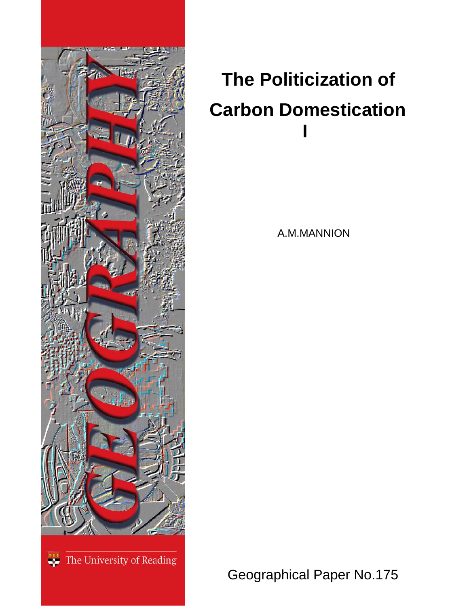

# **The Politicization of Carbon Domestication I**

A.M.MANNION

<sup>\*\*\*</sup> The University of Reading

Geographical Paper No.175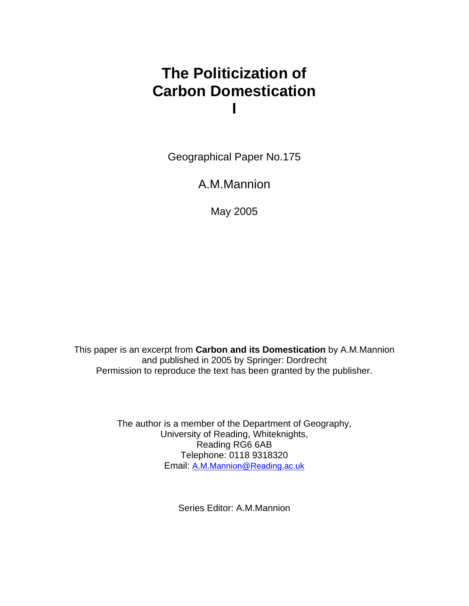# **The Politicization of Carbon Domestication I**

Geographical Paper No.175

## A.M.Mannion

May 2005

This paper is an excerpt from **Carbon and its Domestication** by A.M.Mannion and published in 2005 by Springer: Dordrecht Permission to reproduce the text has been granted by the publisher.

> The author is a member of the Department of Geography, University of Reading, Whiteknights, Reading RG6 6AB Telephone: 0118 9318320 Email: [A.M.Mannion@Reading.ac.uk](mailto:A.M.Mannion@Reading.ac.uk)

> > Series Editor: A.M.Mannion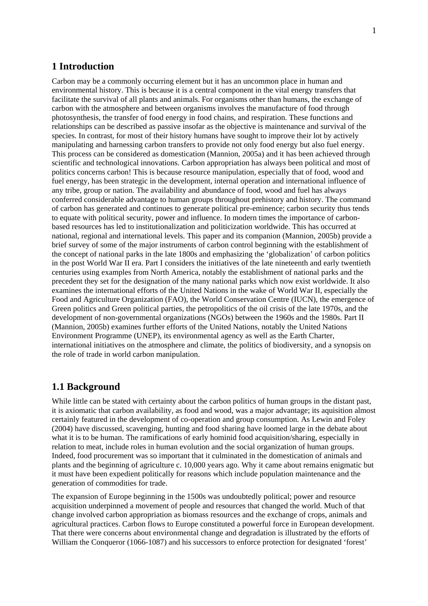#### **1 Introduction**

Carbon may be a commonly occurring element but it has an uncommon place in human and environmental history. This is because it is a central component in the vital energy transfers that facilitate the survival of all plants and animals. For organisms other than humans, the exchange of carbon with the atmosphere and between organisms involves the manufacture of food through photosynthesis, the transfer of food energy in food chains, and respiration. These functions and relationships can be described as passive insofar as the objective is maintenance and survival of the species. In contrast, for most of their history humans have sought to improve their lot by actively manipulating and harnessing carbon transfers to provide not only food energy but also fuel energy. This process can be considered as domestication (Mannion, 2005a) and it has been achieved through scientific and technological innovations. Carbon appropriation has always been political and most of politics concerns carbon! This is because resource manipulation, especially that of food, wood and fuel energy, has been strategic in the development, internal operation and international influence of any tribe, group or nation. The availability and abundance of food, wood and fuel has always conferred considerable advantage to human groups throughout prehistory and history. The command of carbon has generated and continues to generate political pre-eminence; carbon security thus tends to equate with political security, power and influence. In modern times the importance of carbonbased resources has led to institutionalization and politicization worldwide. This has occurred at national, regional and international levels. This paper and its companion (Mannion, 2005b) provide a brief survey of some of the major instruments of carbon control beginning with the establishment of the concept of national parks in the late 1800s and emphasizing the 'globalization' of carbon politics in the post World War II era. Part I considers the initiatives of the late nineteenth and early twentieth centuries using examples from North America, notably the establishment of national parks and the precedent they set for the designation of the many national parks which now exist worldwide. It also examines the international efforts of the United Nations in the wake of World War II, especially the Food and Agriculture Organization (FAO), the World Conservation Centre (IUCN), the emergence of Green politics and Green political parties, the petropolitics of the oil crisis of the late 1970s, and the development of non-governmental organizations (NGOs) between the 1960s and the 1980s. Part II (Mannion, 2005b) examines further efforts of the United Nations, notably the United Nations Environment Programme (UNEP), its environmental agency as well as the Earth Charter, international initiatives on the atmosphere and climate, the politics of biodiversity, and a synopsis on the role of trade in world carbon manipulation.

#### **1.1 Background**

While little can be stated with certainty about the carbon politics of human groups in the distant past, it is axiomatic that carbon availability, as food and wood, was a major advantage; its aquisition almost certainly featured in the development of co-operation and group consumption. As Lewin and Foley (2004) have discussed, scavenging, hunting and food sharing have loomed large in the debate about what it is to be human. The ramifications of early hominid food acquisition/sharing, especially in relation to meat, include roles in human evolution and the social organization of human groups. Indeed, food procurement was so important that it culminated in the domestication of animals and plants and the beginning of agriculture c. 10,000 years ago. Why it came about remains enigmatic but it must have been expedient politically for reasons which include population maintenance and the generation of commodities for trade.

The expansion of Europe beginning in the 1500s was undoubtedly political; power and resource acquisition underpinned a movement of people and resources that changed the world. Much of that change involved carbon appropriation as biomass resources and the exchange of crops, animals and agricultural practices. Carbon flows to Europe constituted a powerful force in European development. That there were concerns about environmental change and degradation is illustrated by the efforts of William the Conqueror (1066-1087) and his successors to enforce protection for designated 'forest'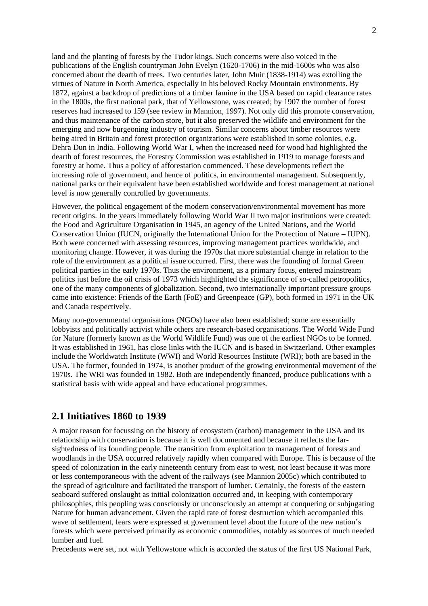land and the planting of forests by the Tudor kings. Such concerns were also voiced in the publications of the English countryman John Evelyn (1620-1706) in the mid-1600s who was also concerned about the dearth of trees. Two centuries later, John Muir (1838-1914) was extolling the virtues of Nature in North America, especially in his beloved Rocky Mountain environments. By 1872, against a backdrop of predictions of a timber famine in the USA based on rapid clearance rates in the 1800s, the first national park, that of Yellowstone, was created; by 1907 the number of forest reserves had increased to 159 (see review in Mannion, 1997). Not only did this promote conservation, and thus maintenance of the carbon store, but it also preserved the wildlife and environment for the emerging and now burgeoning industry of tourism. Similar concerns about timber resources were being aired in Britain and forest protection organizations were established in some colonies, e.g. Dehra Dun in India. Following World War I, when the increased need for wood had highlighted the dearth of forest resources, the Forestry Commission was established in 1919 to manage forests and forestry at home. Thus a policy of afforestation commenced. These developments reflect the increasing role of government, and hence of politics, in environmental management. Subsequently, national parks or their equivalent have been established worldwide and forest management at national level is now generally controlled by governments.

However, the political engagement of the modern conservation/environmental movement has more recent origins. In the years immediately following World War II two major institutions were created: the Food and Agriculture Organisation in 1945, an agency of the United Nations, and the World Conservation Union (IUCN, originally the International Union for the Protection of Nature – IUPN). Both were concerned with assessing resources, improving management practices worldwide, and monitoring change. However, it was during the 1970s that more substantial change in relation to the role of the environment as a political issue occurred. First, there was the founding of formal Green political parties in the early 1970s. Thus the environment, as a primary focus, entered mainstream politics just before the oil crisis of 1973 which highlighted the significance of so-called petropolitics, one of the many components of globalization. Second, two internationally important pressure groups came into existence: Friends of the Earth (FoE) and Greenpeace (GP), both formed in 1971 in the UK and Canada respectively.

Many non-governmental organisations (NGOs) have also been established; some are essentially lobbyists and politically activist while others are research-based organisations. The World Wide Fund for Nature (formerly known as the World Wildlife Fund) was one of the earliest NGOs to be formed. It was established in 1961, has close links with the IUCN and is based in Switzerland. Other examples include the Worldwatch Institute (WWI) and World Resources Institute (WRI); both are based in the USA. The former, founded in 1974, is another product of the growing environmental movement of the 1970s. The WRI was founded in 1982. Both are independently financed, produce publications with a statistical basis with wide appeal and have educational programmes.

#### **2.1 Initiatives 1860 to 1939**

A major reason for focussing on the history of ecosystem (carbon) management in the USA and its relationship with conservation is because it is well documented and because it reflects the farsightedness of its founding people. The transition from exploitation to management of forests and woodlands in the USA occurred relatively rapidly when compared with Europe. This is because of the speed of colonization in the early nineteenth century from east to west, not least because it was more or less contemporaneous with the advent of the railways (see Mannion 2005c) which contributed to the spread of agriculture and facilitated the transport of lumber. Certainly, the forests of the eastern seaboard suffered onslaught as initial colonization occurred and, in keeping with contemporary philosophies, this peopling was consciously or unconsciously an attempt at conquering or subjugating Nature for human advancement. Given the rapid rate of forest destruction which accompanied this wave of settlement, fears were expressed at government level about the future of the new nation's forests which were perceived primarily as economic commodities, notably as sources of much needed lumber and fuel.

Precedents were set, not with Yellowstone which is accorded the status of the first US National Park,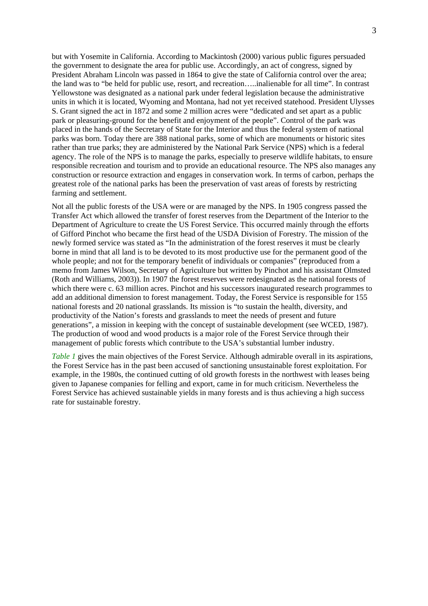but with Yosemite in California. According to Mackintosh (2000) various public figures persuaded the government to designate the area for public use. Accordingly, an act of congress, signed by President Abraham Lincoln was passed in 1864 to give the state of California control over the area; the land was to "be held for public use, resort, and recreation…..inalienable for all time". In contrast Yellowstone was designated as a national park under federal legislation because the administrative units in which it is located, Wyoming and Montana, had not yet received statehood. President Ulysses S. Grant signed the act in 1872 and some 2 million acres were "dedicated and set apart as a public park or pleasuring-ground for the benefit and enjoyment of the people". Control of the park was placed in the hands of the Secretary of State for the Interior and thus the federal system of national parks was born. Today there are 388 national parks, some of which are monuments or historic sites rather than true parks; they are administered by the National Park Service (NPS) which is a federal agency. The role of the NPS is to manage the parks, especially to preserve wildlife habitats, to ensure responsible recreation and tourism and to provide an educational resource. The NPS also manages any construction or resource extraction and engages in conservation work. In terms of carbon, perhaps the greatest role of the national parks has been the preservation of vast areas of forests by restricting farming and settlement.

Not all the public forests of the USA were or are managed by the NPS. In 1905 congress passed the Transfer Act which allowed the transfer of forest reserves from the Department of the Interior to the Department of Agriculture to create the US Forest Service. This occurred mainly through the efforts of Gifford Pinchot who became the first head of the USDA Division of Forestry. The mission of the newly formed service was stated as "In the administration of the forest reserves it must be clearly borne in mind that all land is to be devoted to its most productive use for the permanent good of the whole people; and not for the temporary benefit of individuals or companies" (reproduced from a memo from James Wilson, Secretary of Agriculture but written by Pinchot and his assistant Olmsted (Roth and Williams, 2003)). In 1907 the forest reserves were redesignated as the national forests of which there were c. 63 million acres. Pinchot and his successors inaugurated research programmes to add an additional dimension to forest management. Today, the Forest Service is responsible for 155 national forests and 20 national grasslands. Its mission is "to sustain the health, diversity, and productivity of the Nation's forests and grasslands to meet the needs of present and future generations", a mission in keeping with the concept of sustainable development (see WCED, 1987). The production of wood and wood products is a major role of the Forest Service through their management of public forests which contribute to the USA's substantial lumber industry.

*Table 1* gives the main objectives of the Forest Service. Although admirable overall in its aspirations, the Forest Service has in the past been accused of sanctioning unsustainable forest exploitation. For example, in the 1980s, the continued cutting of old growth forests in the northwest with leases being given to Japanese companies for felling and export, came in for much criticism. Nevertheless the Forest Service has achieved sustainable yields in many forests and is thus achieving a high success rate for sustainable forestry.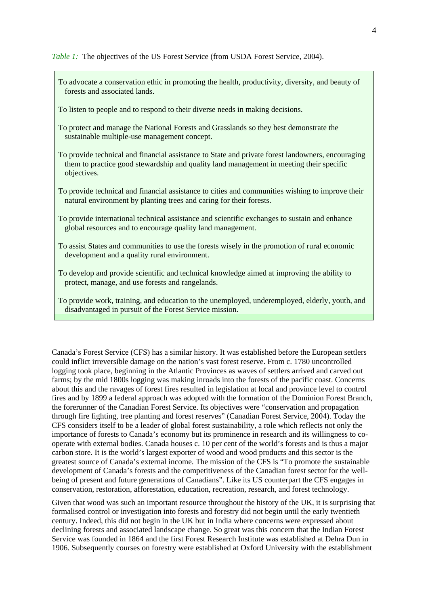#### *Table 1:* The objectives of the US Forest Service (from USDA Forest Service, 2004).

| To advocate a conservation ethic in promoting the health, productivity, diversity, and beauty of<br>forests and associated lands.                                                                           |
|-------------------------------------------------------------------------------------------------------------------------------------------------------------------------------------------------------------|
| To listen to people and to respond to their diverse needs in making decisions.                                                                                                                              |
| To protect and manage the National Forests and Grasslands so they best demonstrate the<br>sustainable multiple-use management concept.                                                                      |
| To provide technical and financial assistance to State and private forest landowners, encouraging<br>them to practice good stewardship and quality land management in meeting their specific<br>objectives. |
| To provide technical and financial assistance to cities and communities wishing to improve their<br>natural environment by planting trees and caring for their forests.                                     |
| To provide international technical assistance and scientific exchanges to sustain and enhance<br>global resources and to encourage quality land management.                                                 |
| To assist States and communities to use the forests wisely in the promotion of rural economic<br>development and a quality rural environment.                                                               |
| To develop and provide scientific and technical knowledge aimed at improving the ability to<br>protect, manage, and use forests and rangelands.                                                             |
| का पत्र तरह पत्र होता है। उन्होंने का सामान के लिए सामान करता है। उन्होंने का सामान करता है। उन्होंने का सामान                                                                                              |

To provide work, training, and education to the unemployed, underemployed, elderly, youth, and disadvantaged in pursuit of the Forest Service mission.

Canada's Forest Service (CFS) has a similar history. It was established before the European settlers could inflict irreversible damage on the nation's vast forest reserve. From c. 1780 uncontrolled logging took place, beginning in the Atlantic Provinces as waves of settlers arrived and carved out farms; by the mid 1800s logging was making inroads into the forests of the pacific coast. Concerns about this and the ravages of forest fires resulted in legislation at local and province level to control fires and by 1899 a federal approach was adopted with the formation of the Dominion Forest Branch, the forerunner of the Canadian Forest Service. Its objectives were "conservation and propagation through fire fighting, tree planting and forest reserves" (Canadian Forest Service, 2004). Today the CFS considers itself to be a leader of global forest sustainability, a role which reflects not only the importance of forests to Canada's economy but its prominence in research and its willingness to cooperate with external bodies. Canada houses c. 10 per cent of the world's forests and is thus a major carbon store. It is the world's largest exporter of wood and wood products and this sector is the greatest source of Canada's external income. The mission of the CFS is "To promote the sustainable development of Canada's forests and the competitiveness of the Canadian forest sector for the wellbeing of present and future generations of Canadians". Like its US counterpart the CFS engages in conservation, restoration, afforestation, education, recreation, research, and forest technology.

Given that wood was such an important resource throughout the history of the UK, it is surprising that formalised control or investigation into forests and forestry did not begin until the early twentieth century. Indeed, this did not begin in the UK but in India where concerns were expressed about declining forests and associated landscape change. So great was this concern that the Indian Forest Service was founded in 1864 and the first Forest Research Institute was established at Dehra Dun in 1906. Subsequently courses on forestry were established at Oxford University with the establishment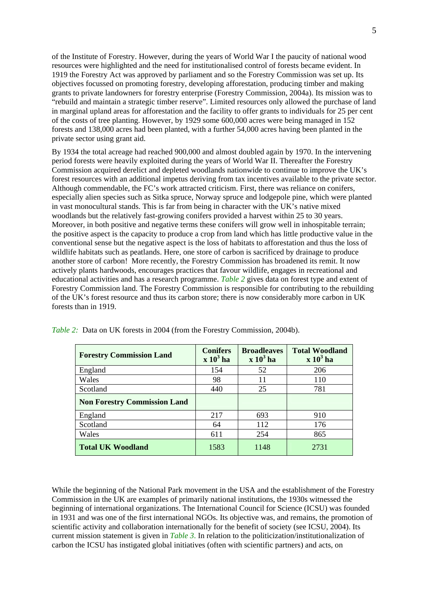of the Institute of Forestry. However, during the years of World War I the paucity of national wood resources were highlighted and the need for institutionalised control of forests became evident. In 1919 the Forestry Act was approved by parliament and so the Forestry Commission was set up. Its objectives focussed on promoting forestry, developing afforestation, producing timber and making grants to private landowners for forestry enterprise (Forestry Commission, 2004a). Its mission was to "rebuild and maintain a strategic timber reserve". Limited resources only allowed the purchase of land in marginal upland areas for afforestation and the facility to offer grants to individuals for 25 per cent of the costs of tree planting. However, by 1929 some 600,000 acres were being managed in 152 forests and 138,000 acres had been planted, with a further 54,000 acres having been planted in the private sector using grant aid.

By 1934 the total acreage had reached 900,000 and almost doubled again by 1970. In the intervening period forests were heavily exploited during the years of World War II. Thereafter the Forestry Commission acquired derelict and depleted woodlands nationwide to continue to improve the UK's forest resources with an additional impetus deriving from tax incentives available to the private sector. Although commendable, the FC's work attracted criticism. First, there was reliance on conifers, especially alien species such as Sitka spruce, Norway spruce and lodgepole pine, which were planted in vast monocultural stands. This is far from being in character with the UK's native mixed woodlands but the relatively fast-growing conifers provided a harvest within 25 to 30 years. Moreover, in both positive and negative terms these conifers will grow well in inhospitable terrain; the positive aspect is the capacity to produce a crop from land which has little productive value in the conventional sense but the negative aspect is the loss of habitats to afforestation and thus the loss of wildlife habitats such as peatlands. Here, one store of carbon is sacrificed by drainage to produce another store of carbon! More recently, the Forestry Commission has broadened its remit. It now actively plants hardwoods, encourages practices that favour wildlife, engages in recreational and educational activities and has a research programme. *Table 2* gives data on forest type and extent of Forestry Commission land. The Forestry Commission is responsible for contributing to the rebuilding of the UK's forest resource and thus its carbon store; there is now considerably more carbon in UK forests than in 1919.

| <b>Forestry Commission Land</b>     | <b>Conifers</b><br>$\mathbf{x}$ 10 <sup>3</sup> ha | <b>Broadleaves</b><br>$\mathbf{x}$ 10 <sup>3</sup> ha | <b>Total Woodland</b><br>$\mathbf{x}$ 10 <sup>3</sup> ha |
|-------------------------------------|----------------------------------------------------|-------------------------------------------------------|----------------------------------------------------------|
| England                             | 154                                                | 52                                                    | 206                                                      |
| Wales                               | 98                                                 | 11                                                    | 110                                                      |
| Scotland                            | 440                                                | 25                                                    | 781                                                      |
| <b>Non Forestry Commission Land</b> |                                                    |                                                       |                                                          |
| England                             | 217                                                | 693                                                   | 910                                                      |
| Scotland                            | 64                                                 | 112                                                   | 176                                                      |
| Wales                               | 611                                                | 254                                                   | 865                                                      |
| <b>Total UK Woodland</b>            | 1583                                               | 1148                                                  | 2731                                                     |

*Table 2:* Data on UK forests in 2004 (from the Forestry Commission, 2004b).

While the beginning of the National Park movement in the USA and the establishment of the Forestry Commission in the UK are examples of primarily national institutions, the 1930s witnessed the beginning of international organizations. The International Council for Science (ICSU) was founded in 1931 and was one of the first international NGOs. Its objective was, and remains, the promotion of scientific activity and collaboration internationally for the benefit of society (see ICSU, 2004). Its current mission statement is given in *Table 3*. In relation to the politicization/institutionalization of carbon the ICSU has instigated global initiatives (often with scientific partners) and acts, on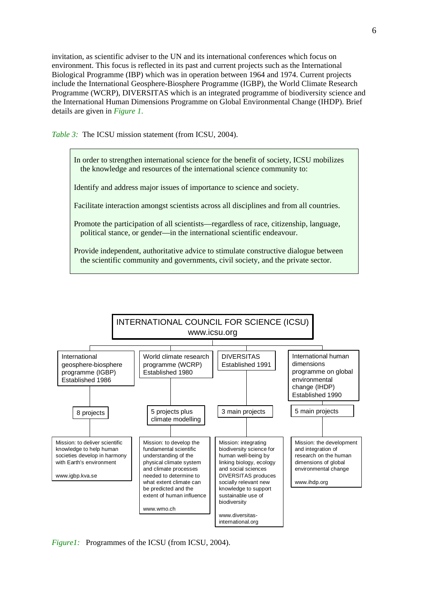invitation, as scientific adviser to the UN and its international conferences which focus on environment. This focus is reflected in its past and current projects such as the International Biological Programme (IBP) which was in operation between 1964 and 1974. Current projects include the International Geosphere-Biosphere Programme (IGBP), the World Climate Research Programme (WCRP), DIVERSITAS which is an integrated programme of biodiversity science and the International Human Dimensions Programme on Global Environmental Change (IHDP). Brief details are given in *Figure 1*.

*Table 3:* The ICSU mission statement (from ICSU, 2004).

In order to strengthen international science for the benefit of society, ICSU mobilizes the knowledge and resources of the international science community to:

Identify and address major issues of importance to science and society.

Facilitate interaction amongst scientists across all disciplines and from all countries.

Promote the participation of all scientists—regardless of race, citizenship, language, political stance, or gender—in the international scientific endeavour.

Provide independent, authoritative advice to stimulate constructive dialogue between the scientific community and governments, civil society, and the private sector.



*Figure1:* Programmes of the ICSU (from ICSU, 2004).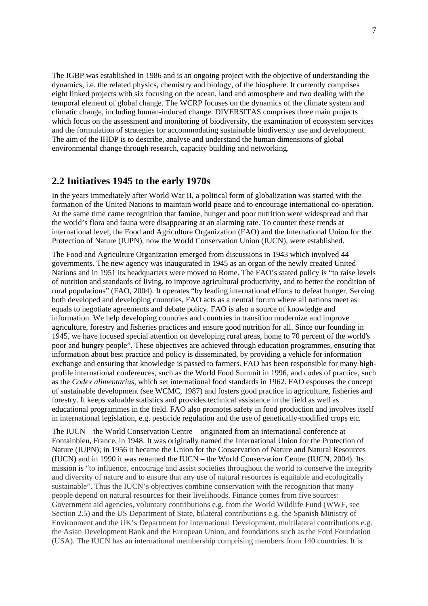The IGBP was established in 1986 and is an ongoing project with the objective of understanding the dynamics, i.e. the related physics, chemistry and biology, of the biosphere. It currently comprises eight linked projects with six focusing on the ocean, land and atmosphere and two dealing with the temporal element of global change. The WCRP focuses on the dynamics of the climate system and climatic change, including human-induced change. DIVERSITAS comprises three main projects which focus on the assessment and monitoring of biodiversity, the examination of ecosystem services and the formulation of strategies for accommodating sustainable biodiversity use and development. The aim of the IHDP is to describe, analyse and understand the human dimensions of global environmental change through research, capacity building and networking.

### **2.2 Initiatives 1945 to the early 1970s**

In the years immediately after World War II, a political form of globalization was started with the formation of the United Nations to maintain world peace and to encourage international co-operation. At the same time came recognition that famine, hunger and poor nutrition were widespread and that the world's flora and fauna were disappearing at an alarming rate. To counter these trends at international level, the Food and Agriculture Organization (FAO) and the International Union for the Protection of Nature (IUPN), now the World Conservation Union (IUCN), were established.

The Food and Agriculture Organization emerged from discussions in 1943 which involved 44 governments. The new agency was inaugurated in 1945 as an organ of the newly created United Nations and in 1951 its headquarters were moved to Rome. The FAO's stated policy is "to raise levels of nutrition and standards of living, to improve agricultural productivity, and to better the condition of rural populations" (FAO, 2004). It operates "by leading international efforts to defeat hunger. Serving both developed and developing countries, FAO acts as a neutral forum where all nations meet as equals to negotiate agreements and debate policy. FAO is also a source of knowledge and information. We help developing countries and countries in transition modernize and improve agriculture, forestry and fisheries practices and ensure good nutrition for all. Since our founding in 1945, we have focused special attention on developing rural areas, home to 70 percent of the world's poor and hungry people". These objectives are achieved through education programmes, ensuring that information about best practice and policy is disseminated, by providing a vehicle for information exchange and ensuring that knowledge is passed to farmers. FAO has been responsible for many highprofile international conferences, such as the World Food Summit in 1996, and codes of practice, such as the *Codex alimentarius*, which set international food standards in 1962. FAO espouses the concept of sustainable development (see WCMC, 1987) and fosters good practice in agriculture, fisheries and forestry. It keeps valuable statistics and provides technical assistance in the field as well as educational programmes in the field. FAO also promotes safety in food production and involves itself in international legislation, e.g. pesticide regulation and the use of genetically-modified crops etc.

The IUCN – the World Conservation Centre – originated from an international conference at Fontainbleu, France, in 1948. It was originally named the International Union for the Protection of Nature (IUPN); in 1956 it became the Union for the Conservation of Nature and Natural Resources (IUCN) and in 1990 it was renamed the IUCN – the World Conservation Centre (IUCN, 2004). Its mission is "to influence*,* encourage and assist societies throughout the world to conserve the integrity and diversity of nature and to ensure that any use of natural resources is equitable and ecologically sustainable". Thus the IUCN's objectives combine conservation with the recognition that many people depend on natural resources for their livelihoods. Finance comes from five sources: Government aid agencies, voluntary contributions e.g. from the World Wildlife Fund (WWF, see Section 2.5) and the US Department of State, bilateral contributions e.g. the Spanish Ministry of Environment and the UK's Department for International Development, multilateral contributions e.g. the Asian Development Bank and the European Union, and foundations such as the Ford Foundation (USA). The IUCN has an international membership comprising members from 140 countries. It is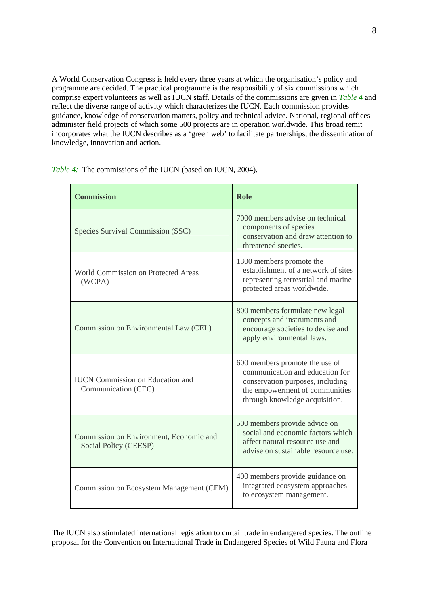A World Conservation Congress is held every three years at which the organisation's policy and programme are decided. The practical programme is the responsibility of six commissions which comprise expert volunteers as well as IUCN staff. Details of the commissions are given in *Table 4* and reflect the diverse range of activity which characterizes the IUCN. Each commission provides guidance, knowledge of conservation matters, policy and technical advice. National, regional offices administer field projects of which some 500 projects are in operation worldwide. This broad remit incorporates what the IUCN describes as a 'green web' to facilitate partnerships, the dissemination of knowledge, innovation and action.

**Commission** Role **Role** Species Survival Commission (SSC) 7000 members advise on technical components of species conservation and draw attention to threatened species. World Commission on Protected Areas (WCPA) 1300 members promote the establishment of a network of sites representing terrestrial and marine protected areas worldwide. Commission on Environmental Law (CEL) 800 members formulate new legal concepts and instruments and encourage societies to devise and apply environmental laws. IUCN Commission on Education and Communication (CEC) 600 members promote the use of communication and education for conservation purposes, including the empowerment of communities through knowledge acquisition. Commission on Environment, Economic and Social Policy (CEESP) 500 members provide advice on social and economic factors which affect natural resource use and advise on sustainable resource use. Commission on Ecosystem Management (CEM) 400 members provide guidance on integrated ecosystem approaches to ecosystem management.

*Table 4:* The commissions of the IUCN (based on IUCN, 2004).

The IUCN also stimulated international legislation to curtail trade in endangered species. The outline proposal for the Convention on International Trade in Endangered Species of Wild Fauna and Flora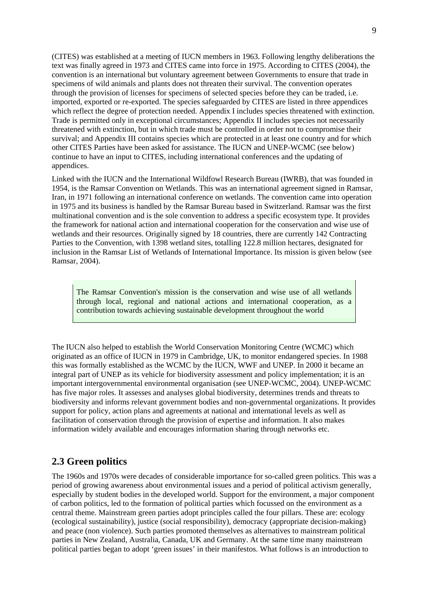(CITES) was established at a meeting of IUCN members in 1963. Following lengthy deliberations the text was finally agreed in 1973 and CITES came into force in 1975. According to CITES (2004), the convention is an international but voluntary agreement between Governments to ensure that trade in specimens of wild animals and plants does not threaten their survival. The convention operates through the provision of licenses for specimens of selected species before they can be traded, i.e. imported, exported or re-exported. The species safeguarded by CITES are listed in three appendices which reflect the degree of protection needed. Appendix I includes species threatened with extinction. Trade is permitted only in exceptional circumstances; Appendix II includes species not necessarily threatened with extinction, but in which trade must be controlled in order not to compromise their survival; and Appendix III contains species which are protected in at least one country and for which other CITES Parties have been asked for assistance. The IUCN and UNEP-WCMC (see below) continue to have an input to CITES, including international conferences and the updating of appendices.

Linked with the IUCN and the International Wildfowl Research Bureau (IWRB), that was founded in 1954, is the Ramsar Convention on Wetlands. This was an international agreement signed in Ramsar, Iran, in 1971 following an international conference on wetlands. The convention came into operation in 1975 and its business is handled by the Ramsar Bureau based in Switzerland. Ramsar was the first multinational convention and is the sole convention to address a specific ecosystem type. It provides the framework for national action and international cooperation for the conservation and wise use of wetlands and their resources. Originally signed by 18 countries, there are currently 142 Contracting Parties to the Convention, with 1398 wetland sites, totalling 122.8 million hectares, designated for inclusion in the Ramsar List of Wetlands of International Importance. Its mission is given below (see Ramsar, 2004).

The Ramsar Convention's mission is the conservation and wise use of all wetlands through local, regional and national actions and international cooperation, as a contribution towards achieving sustainable development throughout the world

The IUCN also helped to establish the World Conservation Monitoring Centre (WCMC) which originated as an office of IUCN in 1979 in Cambridge, UK, to monitor endangered species. In 1988 this was formally established as the WCMC by the IUCN, WWF and UNEP. In 2000 it became an integral part of UNEP as its vehicle for biodiversity assessment and policy implementation; it is an important intergovernmental environmental organisation (see UNEP-WCMC, 2004). UNEP-WCMC has five major roles. It assesses and analyses global biodiversity, determines trends and threats to biodiversity and informs relevant government bodies and non-governmental organizations. It provides support for policy, action plans and agreements at national and international levels as well as facilitation of conservation through the provision of expertise and information. It also makes information widely available and encourages information sharing through networks etc.

#### **2.3 Green politics**

The 1960s and 1970s were decades of considerable importance for so-called green politics. This was a period of growing awareness about environmental issues and a period of political activism generally, especially by student bodies in the developed world. Support for the environment, a major component of carbon politics, led to the formation of political parties which focussed on the environment as a central theme. Mainstream green parties adopt principles called the four pillars. These are: ecology (ecological sustainability), justice (social responsibility), democracy (appropriate decision-making) and peace (non violence). Such parties promoted themselves as alternatives to mainstream political parties in New Zealand, Australia, Canada, UK and Germany. At the same time many mainstream political parties began to adopt 'green issues' in their manifestos. What follows is an introduction to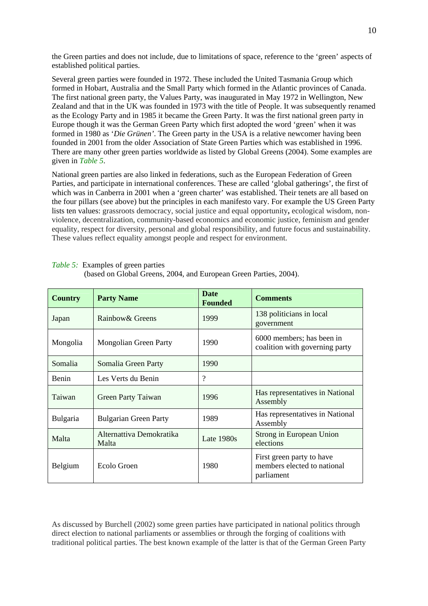the Green parties and does not include, due to limitations of space, reference to the 'green' aspects of established political parties.

Several green parties were founded in 1972. These included the United Tasmania Group which formed in Hobart, Australia and the Small Party which formed in the Atlantic provinces of Canada. The first national green party, the Values Party, was inaugurated in May 1972 in Wellington, New Zealand and that in the UK was founded in 1973 with the title of People. It was subsequently renamed as the Ecology Party and in 1985 it became the Green Party. It was the first national green party in Europe though it was the German Green Party which first adopted the word 'green' when it was formed in 1980 as '*Die Grünen'*. The Green party in the USA is a relative newcomer having been founded in 2001 from the older Association of State Green Parties which was established in 1996. There are many other green parties worldwide as listed by Global Greens (2004). Some examples are given in *Table 5*.

National green parties are also linked in federations, such as the European Federation of Green Parties, and participate in international conferences. These are called 'global gatherings', the first of which was in Canberra in 2001 when a 'green charter' was established. Their tenets are all based on the four pillars (see above) but the principles in each manifesto vary. For example the US Green Party lists ten values: grassroots democracy, social justice and equal opportunity**,** ecological wisdom, nonviolence, decentralization, community-based economics and economic justice, feminism and gender equality, respect for diversity, personal and global responsibility, and future focus and sustainability. These values reflect equality amongst people and respect for environment.

| <b>Country</b> | <b>Party Name</b>                 | <b>Date</b><br><b>Founded</b> | <b>Comments</b>                                                        |
|----------------|-----------------------------------|-------------------------------|------------------------------------------------------------------------|
| Japan          | Rainbow & Greens                  | 1999                          | 138 politicians in local<br>government                                 |
| Mongolia       | Mongolian Green Party             | 1990                          | 6000 members; has been in<br>coalition with governing party            |
| Somalia        | Somalia Green Party               | 1990                          |                                                                        |
| Benin          | Les Verts du Benin                | ?                             |                                                                        |
| Taiwan         | Green Party Taiwan                | 1996                          | Has representatives in National<br>Assembly                            |
| Bulgaria       | <b>Bulgarian Green Party</b>      | 1989                          | Has representatives in National<br>Assembly                            |
| Malta          | Alternattiva Demokratika<br>Malta | Late 1980s                    | Strong in European Union<br>elections                                  |
| Belgium        | Ecolo Groen                       | 1980                          | First green party to have<br>members elected to national<br>parliament |

*Table 5:* Examples of green parties

| (based on Global Greens, 2004, and European Green Parties, 2004). |  |  |
|-------------------------------------------------------------------|--|--|
|-------------------------------------------------------------------|--|--|

As discussed by Burchell (2002) some green parties have participated in national politics through direct election to national parliaments or assemblies or through the forging of coalitions with traditional political parties. The best known example of the latter is that of the German Green Party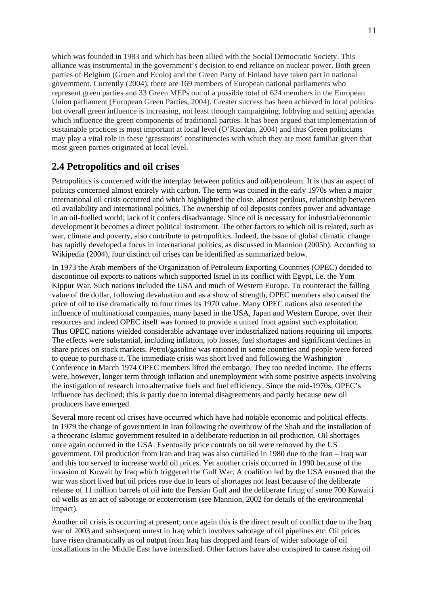which was founded in 1983 and which has been allied with the Social Democratic Society. This alliance was instrumental in the government's decision to end reliance on nuclear power. Both green parties of Belgium (Groen and Ecolo) and the Green Party of Finland have taken part in national government. Currently (2004), there are 169 members of European national parliaments who represent green parties and 33 Green MEPs out of a possible total of 624 members in the European Union parliament (European Green Parties, 2004). Greater success has been achieved in local politics but overall green influence is increasing, not least through campaigning, lobbying and setting agendas which influence the green components of traditional parties. It has been argued that implementation of sustainable practices is most important at local level (O'Riordan, 2004) and thus Green politicians may play a vital role in these 'grassroots' constituencies with which they are most familiar given that most green parties originated at local level.

### **2.4 Petropolitics and oil crises**

Petropolitics is concerned with the interplay between politics and oil/petroleum. It is thus an aspect of politics concerned almost entirely with carbon. The term was coined in the early 1970s when a major international oil crisis occurred and which highlighted the close, almost perilous, relationship between oil availability and international politics. The ownership of oil deposits confers power and advantage in an oil-fuelled world; lack of it confers disadvantage. Since oil is necessary for industrial/economic development it becomes a direct political instrument. The other factors to which oil is related, such as war, climate and poverty, also contribute to petropolitics. Indeed, the issue of global climatic change has rapidly developed a focus in international politics, as discussed in Mannion (2005b). According to Wikipedia (2004), four distinct oil crises can be identified as summarized below.

In 1973 the Arab members of the Organization of Petroleum Exporting Countries (OPEC) decided to discontinue oil exports to nations which supported Israel in its conflict with Egypt, i.e. the Yom Kippur War. Such nations included the USA and much of Western Europe. To counteract the falling value of the dollar, following devaluation and as a show of strength, OPEC members also caused the price of oil to rise dramatically to four times its 1970 value. Many OPEC nations also resented the influence of multinational companies, many based in the USA, Japan and Western Europe, over their resources and indeed OPEC itself was formed to provide a united front against such exploitation. Thus OPEC nations wielded considerable advantage over industrialized nations requiring oil imports. The effects were substantial, including inflation, job losses, fuel shortages and significant declines in share prices on stock markets. Petrol/gasoline was rationed in some countries and people were forced to queue to purchase it. The immediate crisis was short lived and following the Washington Conference in March 1974 OPEC members lifted the embargo. They too needed income. The effects were, however, longer term through inflation and unemployment with some positive aspects involving the instigation of research into alternative fuels and fuel efficiency. Since the mid-1970s, OPEC's influence has declined; this is partly due to internal disagreements and partly because new oil producers have emerged.

Several more recent oil crises have occurred which have had notable economic and political effects. In 1979 the change of government in Iran following the overthrow of the Shah and the installation of a theocratic Islamic government resulted in a deliberate reduction in oil production. Oil shortages once again occurred in the USA. Eventually price controls on oil were removed by the US government. Oil production from Iran and Iraq was also curtailed in 1980 due to the Iran – Iraq war and this too served to increase world oil prices. Yet another crisis occurred in 1990 because of the invasion of Kuwait by Iraq which triggered the Gulf War. A coalition led by the USA ensured that the war was short lived but oil prices rose due to fears of shortages not least because of the deliberate release of 11 million barrels of oil into the Persian Gulf and the deliberate firing of some 700 Kuwaiti oil wells as an act of sabotage or ecoterrorism (see Mannion, 2002 for details of the environmental impact).

Another oil crisis is occurring at present; once again this is the direct result of conflict due to the Iraq war of 2003 and subsequent unrest in Iraq which involves sabotage of oil pipelines etc. Oil prices have risen dramatically as oil output from Iraq has dropped and fears of wider sabotage of oil installations in the Middle East have intensified. Other factors have also conspired to cause rising oil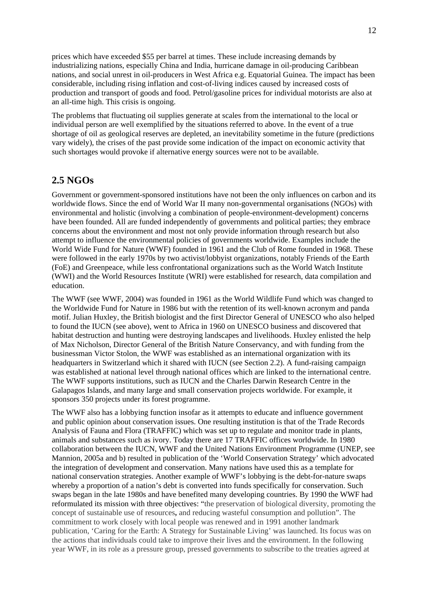prices which have exceeded \$55 per barrel at times. These include increasing demands by industrializing nations, especially China and India, hurricane damage in oil-producing Caribbean nations, and social unrest in oil-producers in West Africa e.g. Equatorial Guinea. The impact has been considerable, including rising inflation and cost-of-living indices caused by increased costs of production and transport of goods and food. Petrol/gasoline prices for individual motorists are also at an all-time high. This crisis is ongoing.

The problems that fluctuating oil supplies generate at scales from the international to the local or individual person are well exemplified by the situations referred to above. In the event of a true shortage of oil as geological reserves are depleted, an inevitability sometime in the future (predictions vary widely), the crises of the past provide some indication of the impact on economic activity that such shortages would provoke if alternative energy sources were not to be available.

#### **2.5 NGOs**

Government or government-sponsored institutions have not been the only influences on carbon and its worldwide flows. Since the end of World War II many non-governmental organisations (NGOs) with environmental and holistic (involving a combination of people-environment-development) concerns have been founded. All are funded independently of governments and political parties; they embrace concerns about the environment and most not only provide information through research but also attempt to influence the environmental policies of governments worldwide. Examples include the World Wide Fund for Nature (WWF) founded in 1961 and the Club of Rome founded in 1968. These were followed in the early 1970s by two activist/lobbyist organizations, notably Friends of the Earth (FoE) and Greenpeace, while less confrontational organizations such as the World Watch Institute (WWI) and the World Resources Institute (WRI) were established for research, data compilation and education.

The WWF (see WWF, 2004) was founded in 1961 as the World Wildlife Fund which was changed to the Worldwide Fund for Nature in 1986 but with the retention of its well-known acronym and panda motif. Julian Huxley, the British biologist and the first Director General of UNESCO who also helped to found the IUCN (see above), went to Africa in 1960 on UNESCO business and discovered that habitat destruction and hunting were destroying landscapes and livelihoods. Huxley enlisted the help of Max Nicholson, Director General of the British Nature Conservancy, and with funding from the businessman Victor Stolon, the WWF was established as an international organization with its headquarters in Switzerland which it shared with IUCN (see Section 2.2). A fund-raising campaign was established at national level through national offices which are linked to the international centre. The WWF supports institutions, such as IUCN and the Charles Darwin Research Centre in the Galapagos Islands, and many large and small conservation projects worldwide. For example, it sponsors 350 projects under its forest programme.

The WWF also has a lobbying function insofar as it attempts to educate and influence government and public opinion about conservation issues. One resulting institution is that of the Trade Records Analysis of Fauna and Flora (TRAFFIC) which was set up to regulate and monitor trade in plants, animals and substances such as ivory. Today there are 17 TRAFFIC offices worldwide. In 1980 collaboration between the IUCN, WWF and the United Nations Environment Programme (UNEP, see Mannion, 2005a and b) resulted in publication of the 'World Conservation Strategy' which advocated the integration of development and conservation. Many nations have used this as a template for national conservation strategies. Another example of WWF's lobbying is the debt-for-nature swaps whereby a proportion of a nation's debt is converted into funds specifically for conservation. Such swaps began in the late 1980s and have benefited many developing countries. By 1990 the WWF had reformulated its mission with three objectives: "the preservation of biological diversity, promoting the concept of sustainable use of resources**,** and reducing wasteful consumption and pollution". The commitment to work closely with local people was renewed and in 1991 another landmark publication, 'Caring for the Earth: A Strategy for Sustainable Living' was launched. Its focus was on the actions that individuals could take to improve their lives and the environment. In the following year WWF, in its role as a pressure group, pressed governments to subscribe to the treaties agreed at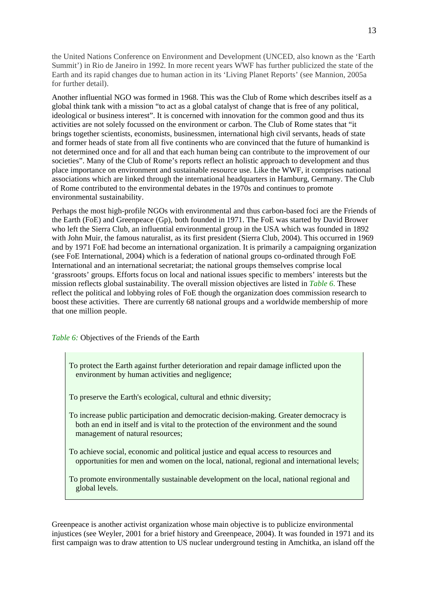the United Nations Conference on Environment and Development (UNCED, also known as the 'Earth Summit') in Rio de Janeiro in 1992. In more recent years WWF has further publicized the state of the Earth and its rapid changes due to human action in its 'Living Planet Reports' (see Mannion, 2005a for further detail).

Another influential NGO was formed in 1968. This was the Club of Rome which describes itself as a global think tank with a mission "to act as a global catalyst of change that is free of any political, ideological or business interest". It is concerned with innovation for the common good and thus its activities are not solely focussed on the environment or carbon. The Club of Rome states that "it brings together scientists, economists, businessmen, international high civil servants, heads of state and former heads of state from all five continents who are convinced that the future of humankind is not determined once and for all and that each human being can contribute to the improvement of our societies". Many of the Club of Rome's reports reflect an holistic approach to development and thus place importance on environment and sustainable resource use. Like the WWF, it comprises national associations which are linked through the international headquarters in Hamburg, Germany. The Club of Rome contributed to the environmental debates in the 1970s and continues to promote environmental sustainability.

Perhaps the most high-profile NGOs with environmental and thus carbon-based foci are the Friends of the Earth (FoE) and Greenpeace (Gp), both founded in 1971. The FoE was started by David Brower who left the Sierra Club, an influential environmental group in the USA which was founded in 1892 with John Muir, the famous naturalist, as its first president (Sierra Club, 2004). This occurred in 1969 and by 1971 FoE had become an international organization. It is primarily a campaigning organization (see FoE International, 2004) which is a federation of national groups co-ordinated through FoE International and an international secretariat; the national groups themselves comprise local 'grassroots' groups. Efforts focus on local and national issues specific to members' interests but the mission reflects global sustainability. The overall mission objectives are listed in *Table 6*. These reflect the political and lobbying roles of FoE though the organization does commission research to boost these activities. There are currently 68 national groups and a worldwide membership of more that one million people.

*Table 6:* Objectives of the Friends of the Earth

- To protect the Earth against further deterioration and repair damage inflicted upon the environment by human activities and negligence;
- To preserve the Earth's ecological, cultural and ethnic diversity;
- To increase public participation and democratic decision-making. Greater democracy is both an end in itself and is vital to the protection of the environment and the sound management of natural resources;
- To achieve social, economic and political justice and equal access to resources and opportunities for men and women on the local, national, regional and international levels;
- To promote environmentally sustainable development on the local, national regional and global levels.

Greenpeace is another activist organization whose main objective is to publicize environmental injustices (see Weyler, 2001 for a brief history and Greenpeace, 2004). It was founded in 1971 and its first campaign was to draw attention to US nuclear underground testing in Amchitka, an island off the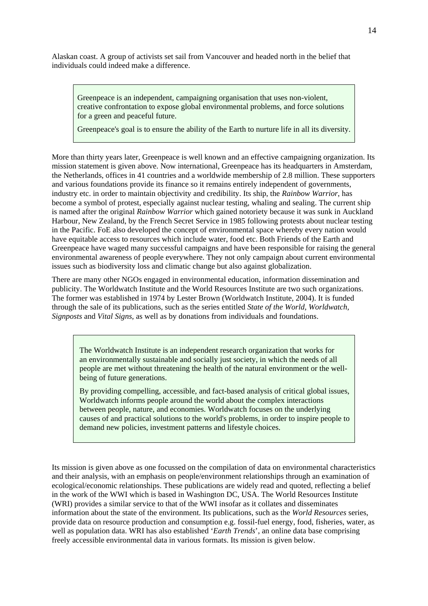Alaskan coast. A group of activists set sail from Vancouver and headed north in the belief that individuals could indeed make a difference.

Greenpeace is an independent, campaigning organisation that uses non-violent, creative confrontation to expose global environmental problems, and force solutions for a green and peaceful future.

Greenpeace's goal is to ensure the ability of the Earth to nurture life in all its diversity.

More than thirty years later, Greenpeace is well known and an effective campaigning organization. Its mission statement is given above. Now international, Greenpeace has its headquarters in Amsterdam, the Netherlands, offices in 41 countries and a worldwide membership of 2.8 million. These supporters and various foundations provide its finance so it remains entirely independent of governments, industry etc. in order to maintain objectivity and credibility. Its ship, the *Rainbow Warrior*, has become a symbol of protest, especially against nuclear testing, whaling and sealing. The current ship is named after the original *Rainbow Warrior* which gained notoriety because it was sunk in Auckland Harbour, New Zealand, by the French Secret Service in 1985 following protests about nuclear testing in the Pacific. FoE also developed the concept of environmental space whereby every nation would have equitable access to resources which include water, food etc. Both Friends of the Earth and Greenpeace have waged many successful campaigns and have been responsible for raising the general environmental awareness of people everywhere. They not only campaign about current environmental issues such as biodiversity loss and climatic change but also against globalization.

There are many other NGOs engaged in environmental education, information dissemination and publicity. The Worldwatch Institute and the World Resources Institute are two such organizations. The former was established in 1974 by Lester Brown (Worldwatch Institute, 2004). It is funded through the sale of its publications, such as the series entitled *State of the World, Worldwatch, Signposts* and *Vital Signs,* as well as by donations from individuals and foundations.

The Worldwatch Institute is an independent research organization that works for an environmentally sustainable and socially just society, in which the needs of all people are met without threatening the health of the natural environment or the wellbeing of future generations.

By providing compelling, accessible, and fact-based analysis of critical global issues, Worldwatch informs people around the world about the complex interactions between people, nature, and economies. Worldwatch focuses on the underlying causes of and practical solutions to the world's problems, in order to inspire people to demand new policies, investment patterns and lifestyle choices.

Its mission is given above as one focussed on the compilation of data on environmental characteristics and their analysis, with an emphasis on people/environment relationships through an examination of ecological/economic relationships. These publications are widely read and quoted, reflecting a belief in the work of the WWI which is based in Washington DC, USA. The World Resources Institute (WRI) provides a similar service to that of the WWI insofar as it collates and disseminates information about the state of the environment. Its publications, such as the *World Resources* series*,* provide data on resource production and consumption e.g. fossil-fuel energy, food, fisheries, water, as well as population data. WRI has also established '*Earth Trends*', an online data base comprising freely accessible environmental data in various formats. Its mission is given below.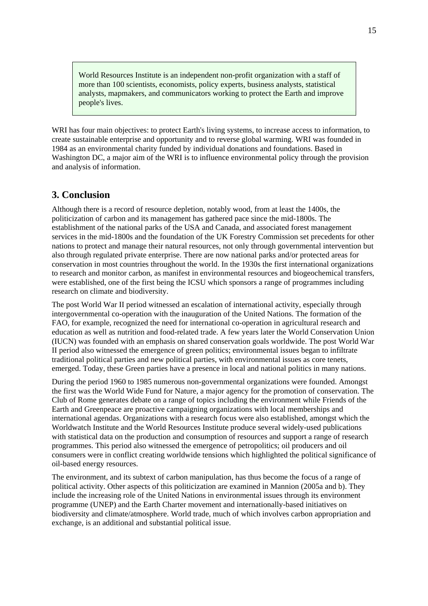World Resources Institute is an independent non-profit organization with a staff of more than 100 scientists, economists, policy experts, business analysts, statistical analysts, mapmakers, and communicators working to protect the Earth and improve people's lives.

WRI has four main objectives: to protect Earth's living systems, to increase access to information, to create sustainable enterprise and opportunity and to reverse global warming. WRI was founded in 1984 as an environmental charity funded by individual donations and foundations. Based in Washington DC, a major aim of the WRI is to influence environmental policy through the provision and analysis of information.

## **3. Conclusion**

Although there is a record of resource depletion, notably wood, from at least the 1400s, the politicization of carbon and its management has gathered pace since the mid-1800s. The establishment of the national parks of the USA and Canada, and associated forest management services in the mid-1800s and the foundation of the UK Forestry Commission set precedents for other nations to protect and manage their natural resources, not only through governmental intervention but also through regulated private enterprise. There are now national parks and/or protected areas for conservation in most countries throughout the world. In the 1930s the first international organizations to research and monitor carbon, as manifest in environmental resources and biogeochemical transfers, were established, one of the first being the ICSU which sponsors a range of programmes including research on climate and biodiversity.

The post World War II period witnessed an escalation of international activity, especially through intergovernmental co-operation with the inauguration of the United Nations. The formation of the FAO, for example, recognized the need for international co-operation in agricultural research and education as well as nutrition and food-related trade. A few years later the World Conservation Union (IUCN) was founded with an emphasis on shared conservation goals worldwide. The post World War II period also witnessed the emergence of green politics; environmental issues began to infiltrate traditional political parties and new political parties, with environmental issues as core tenets, emerged. Today, these Green parties have a presence in local and national politics in many nations.

During the period 1960 to 1985 numerous non-governmental organizations were founded. Amongst the first was the World Wide Fund for Nature, a major agency for the promotion of conservation. The Club of Rome generates debate on a range of topics including the environment while Friends of the Earth and Greenpeace are proactive campaigning organizations with local memberships and international agendas. Organizations with a research focus were also established, amongst which the Worldwatch Institute and the World Resources Institute produce several widely-used publications with statistical data on the production and consumption of resources and support a range of research programmes. This period also witnessed the emergence of petropolitics; oil producers and oil consumers were in conflict creating worldwide tensions which highlighted the political significance of oil-based energy resources.

The environment, and its subtext of carbon manipulation, has thus become the focus of a range of political activity. Other aspects of this politicization are examined in Mannion (2005a and b). They include the increasing role of the United Nations in environmental issues through its environment programme (UNEP) and the Earth Charter movement and internationally-based initiatives on biodiversity and climate/atmosphere. World trade, much of which involves carbon appropriation and exchange, is an additional and substantial political issue.